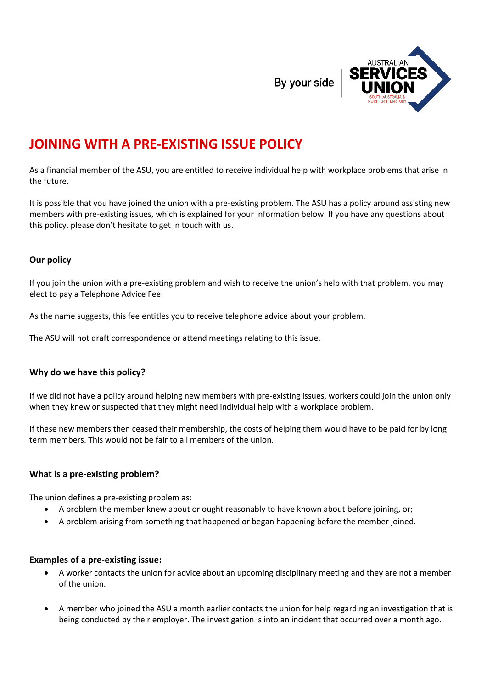By your side



# **JOINING WITH A PRE-EXISTING ISSUE POLICY**

As a financial member of the ASU, you are entitled to receive individual help with workplace problems that arise in the future.

It is possible that you have joined the union with a pre-existing problem. The ASU has a policy around assisting new members with pre-existing issues, which is explained for your information below. If you have any questions about this policy, please don't hesitate to get in touch with us.

## **Our policy**

If you join the union with a pre-existing problem and wish to receive the union's help with that problem, you may elect to pay a Telephone Advice Fee.

As the name suggests, this fee entitles you to receive telephone advice about your problem.

The ASU will not draft correspondence or attend meetings relating to this issue.

### **Why do we have this policy?**

If we did not have a policy around helping new members with pre-existing issues, workers could join the union only when they knew or suspected that they might need individual help with a workplace problem.

If these new members then ceased their membership, the costs of helping them would have to be paid for by long term members. This would not be fair to all members of the union.

### **What is a pre-existing problem?**

The union defines a pre-existing problem as:

- A problem the member knew about or ought reasonably to have known about before joining, or;
- A problem arising from something that happened or began happening before the member joined.

### **Examples of a pre-existing issue:**

- A worker contacts the union for advice about an upcoming disciplinary meeting and they are not a member of the union.
- A member who joined the ASU a month earlier contacts the union for help regarding an investigation that is being conducted by their employer. The investigation is into an incident that occurred over a month ago.